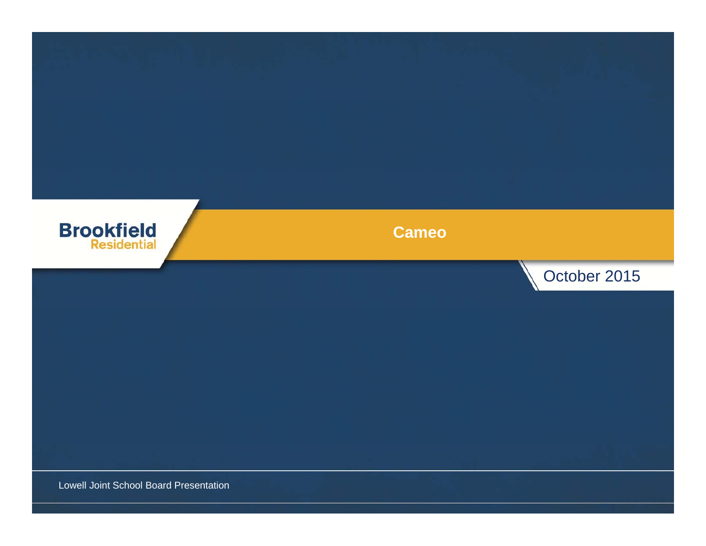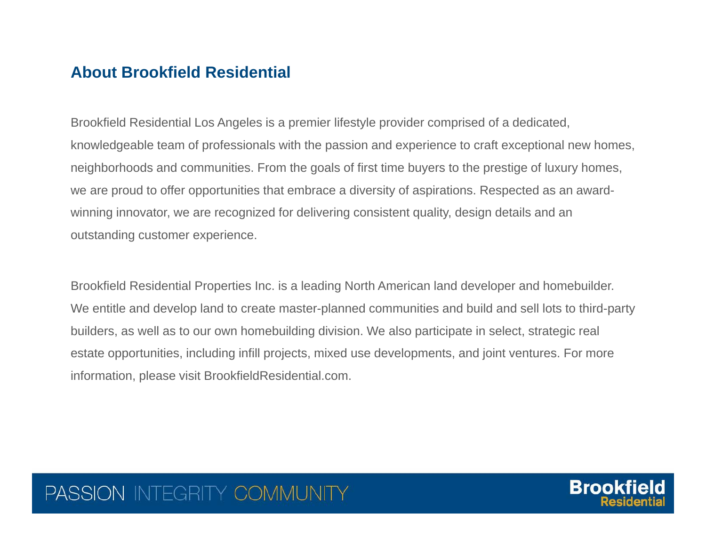### **About Brookfield Residential**

Brookfield Residential Los Angeles is a premier lifestyle provider comprised of a dedicated, knowledgeable team of professionals with the passion and experience to craft exceptional new homes, neighborhoods and communities. From the goals of first time buyers to the prestige of luxury homes, we are proud to offer opportunities that embrace a diversity of aspirations. Respected as an awardwinning innovator, we are recognized for delivering consistent quality, design details and an outstanding customer experience.

Brookfield Residential Properties Inc. is a leading North American land developer and homebuilder. We entitle and develop land to create master-planned communities and build and sell lots to third-party builders, as well as to our own homebuilding division. We also participate in select, strategic real estate opportunities, including infill projects, mixed use developments, and joint ventures. For more information, please visit BrookfieldResidential.com.

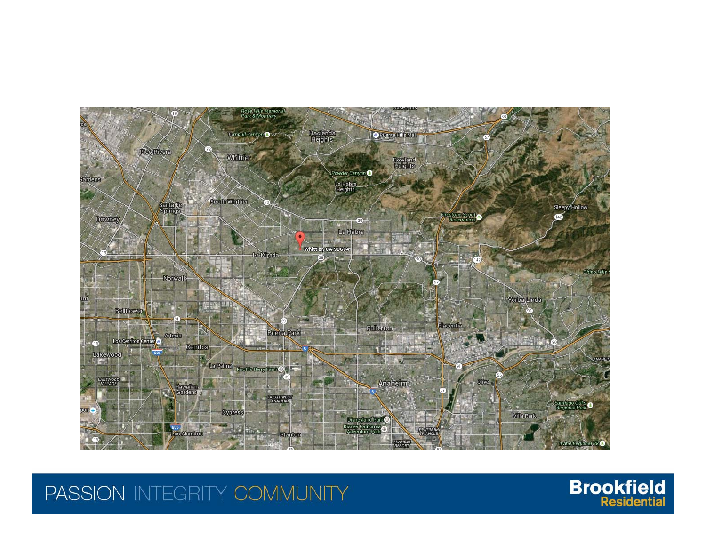#### Whittier, CA 90604  $\frac{1}{1642}$ Norwalk-**Yorba Linda Bellilower**  $69$ **Placentia** Fullerton **Buena Park Antesia** Los Cerritos Center Cerritos **ALL** akewood **N** La Palma Knotts Beny Farm O ×, 55 AKEWOOL<br>VILLAGE Anaheim offve **Gardens DOM** Cypress **Villa Park** Steuton

Hacienda<br>Heights

La Mabra

**O** Puente Hills Mai

Rowland<br>Heights

Park & M

Türnbull Canyon

 $\boldsymbol{\varpi}$ 

Whittier

South Whittler

Pleo Rivera

**lantal**<sub>i</sub>c

**Enders** 

Downey

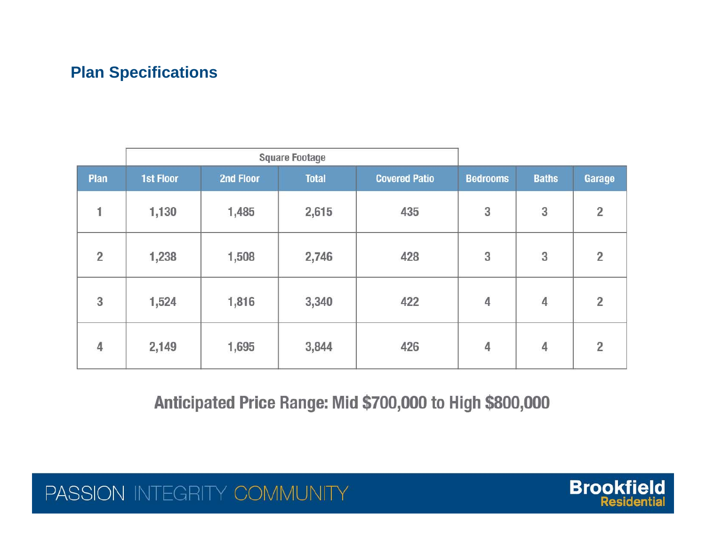## **Plan Specifications**

|                | <b>Square Footage</b> |           |              |                      |                 |                |                |
|----------------|-----------------------|-----------|--------------|----------------------|-----------------|----------------|----------------|
| Plan           | <b>1st Floor</b>      | 2nd Floor | <b>Total</b> | <b>Covered Patio</b> | <b>Bedrooms</b> | <b>Baths</b>   | Garage         |
| 4              | 1,130                 | 1,485     | 2,615        | 435                  | 3               | 3              | $\overline{2}$ |
| $\overline{2}$ | 1,238                 | 1,508     | 2,746        | 428                  | 3               | 3              | $\overline{2}$ |
| 3              | 1,524                 | 1,816     | 3,340        | 422                  | 4               | $\overline{4}$ | $\overline{2}$ |
| $\overline{4}$ | 2,149                 | 1,695     | 3,844        | 426                  | 4               | $\overline{4}$ | $\overline{2}$ |

Anticipated Price Range: Mid \$700,000 to High \$800,000

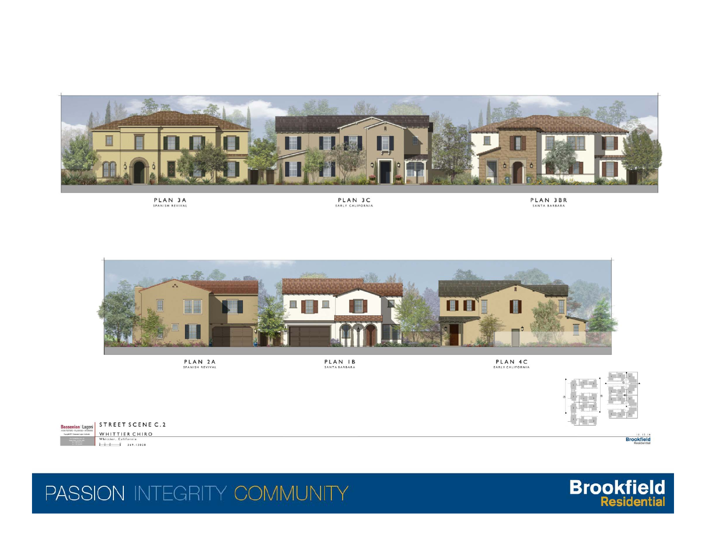

PLAN 3A SPANISH REVIVAL

PLAN 3C EARLY CALIFORNIA PLAN 3BR



PLAN 2A SPANISH REVIVAL PLAN IB

PLAN 4C





PASSION INTEGRITY COMMUNITY

**Brookfield**<br>Residential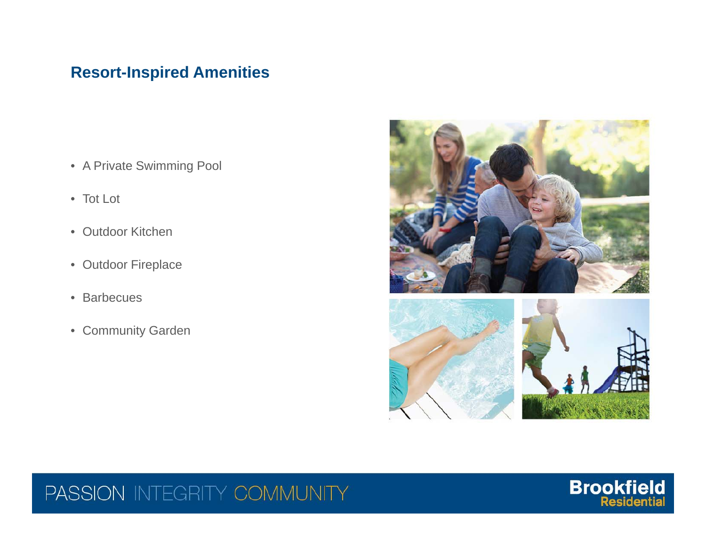### **Resort-Inspired Amenities**

- A Private Swimming Pool
- Tot Lot
- Outdoor Kitchen
- Outdoor Fireplace
- Barbecues
- Community Garden



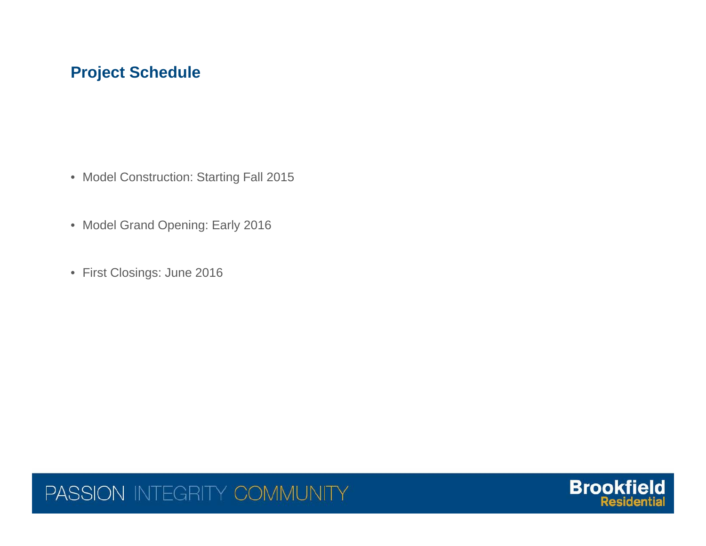### **Project Schedule**

- Model Construction: Starting Fall 2015
- Model Grand Opening: Early 2016
- First Closings: June 2016

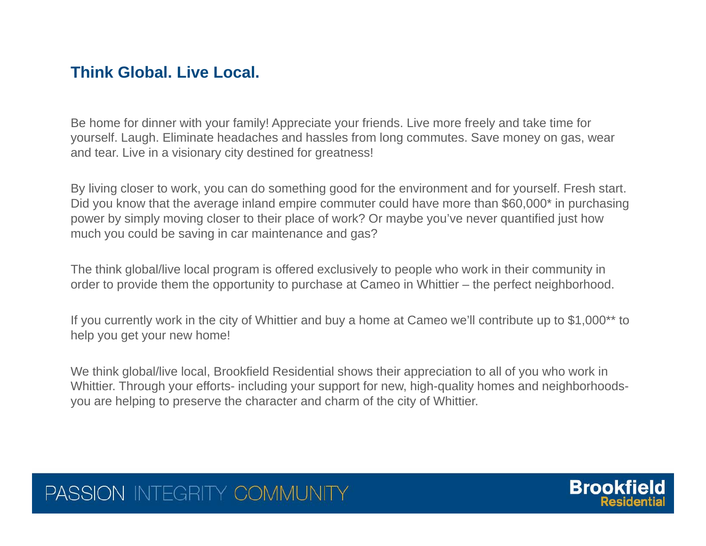### **Think Global. Live Local.**

Be home for dinner with your family! Appreciate your friends. Live more freely and take time for yourself. Laugh. Eliminate headaches and hassles from long commutes. Save money on gas, wear and tear. Live in a visionary city destined for greatness!

By living closer to work, you can do something good for the environment and for yourself. Fresh start. Did you know that the average inland empire commuter could have more than \$60,000\* in purchasing power by simply moving closer to their place of work? Or maybe you've never quantified just how much you could be saving in car maintenance and gas?

The think global/live local program is offered exclusively to people who work in their community in order to provide them the opportunity to purchase at Cameo in Whittier – the perfect neighborhood.

If you currently work in the city of Whittier and buy a home at Cameo we'll contribute up to \$1,000\*\* to help you get your new home!

We think global/live local, Brookfield Residential shows their appreciation to all of you who work in Whittier. Through your efforts- including your support for new, high-quality homes and neighborhoodsyou are helping to preserve the character and charm of the city of Whittier.